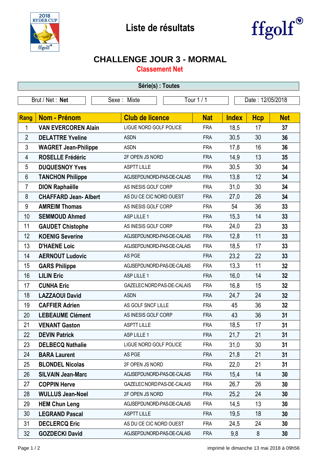



## **CHALLENGE JOUR 3 - MORMAL**

**Classement Net**

| Série(s) : Toutes |                             |                            |            |              |                  |            |  |  |  |
|-------------------|-----------------------------|----------------------------|------------|--------------|------------------|------------|--|--|--|
| Brut / Net: Net   |                             | Sexe: Mixte                | Tour 1 / 1 |              | Date: 12/05/2018 |            |  |  |  |
|                   |                             |                            |            |              |                  |            |  |  |  |
| <b>Rang</b>       | <b>Nom - Prénom</b>         | <b>Club de licence</b>     | <b>Nat</b> | <b>Index</b> | <b>Hcp</b>       | <b>Net</b> |  |  |  |
| 1                 | <b>VAN EVERCOREN Alain</b>  | LIGUE NORD GOLF POLICE     | <b>FRA</b> | 18,5         | 17               | 37         |  |  |  |
| $\overline{2}$    | <b>DELATTRE Yveline</b>     | <b>ASDN</b>                | <b>FRA</b> | 30,5         | 30               | 36         |  |  |  |
| 3                 | <b>WAGRET Jean-Philippe</b> | <b>ASDN</b>                | <b>FRA</b> | 17,8         | 16               | 36         |  |  |  |
| 4                 | <b>ROSELLE Frédéric</b>     | 2F OPEN JS NORD            | <b>FRA</b> | 14,9         | 13               | 35         |  |  |  |
| 5                 | <b>DUQUESNOY Yves</b>       | <b>ASPTT LILLE</b>         | <b>FRA</b> | 30,5         | 30               | 34         |  |  |  |
| 6                 | <b>TANCHON Philippe</b>     | AGJSEPDUNORD-PAS-DE-CALAIS | <b>FRA</b> | 13,8         | 12               | 34         |  |  |  |
| $\overline{7}$    | <b>DION Raphaëlle</b>       | AS INESIS GOLF CORP        | <b>FRA</b> | 31,0         | 30               | 34         |  |  |  |
| 8                 | <b>CHAFFARD Jean-Albert</b> | AS DU CE CIC NORD OUEST    | <b>FRA</b> | 27,0         | 26               | 34         |  |  |  |
| 9                 | <b>AMREIM Thomas</b>        | AS INESIS GOLF CORP        | <b>FRA</b> | 54           | 36               | 33         |  |  |  |
| 10                | <b>SEMMOUD Ahmed</b>        | ASP LILLE 1                | <b>FRA</b> | 15,3         | 14               | 33         |  |  |  |
| 11                | <b>GAUDET Chistophe</b>     | AS INESIS GOLF CORP        | <b>FRA</b> | 24,0         | 23               | 33         |  |  |  |
| 12                | <b>KOENIG Severine</b>      | AGJSEPDUNORD-PAS-DE-CALAIS | <b>FRA</b> | 12,8         | 11               | 33         |  |  |  |
| 13                | <b>D'HAENE Loic</b>         | AGJSEPDUNORD-PAS-DE-CALAIS | <b>FRA</b> | 18,5         | 17               | 33         |  |  |  |
| 14                | <b>AERNOUT Ludovic</b>      | AS PGE                     | <b>FRA</b> | 23,2         | 22               | 33         |  |  |  |
| 15                | <b>GARS Philippe</b>        | AGJSEPDUNORD-PAS-DE-CALAIS | <b>FRA</b> | 13,3         | 11               | 32         |  |  |  |
| 16                | <b>LILIN Eric</b>           | ASP LILLE 1                | <b>FRA</b> | 16,0         | 14               | 32         |  |  |  |
| 17                | <b>CUNHA Eric</b>           | GAZELEC NORD PAS-DE-CALAIS | <b>FRA</b> | 16,8         | 15               | 32         |  |  |  |
| 18                | <b>LAZZAOUI David</b>       | <b>ASDN</b>                | <b>FRA</b> | 24,7         | 24               | 32         |  |  |  |
| 19                | <b>CAFFIER Adrien</b>       | AS GOLF SNCF LILLE         | <b>FRA</b> | 45           | 36               | 32         |  |  |  |
| 20                | <b>LEBEAUME Clément</b>     | AS INESIS GOLF CORP        | <b>FRA</b> | 43           | 36               | 31         |  |  |  |
| 21                | <b>VENANT Gaston</b>        | <b>ASPTT LILLE</b>         | <b>FRA</b> | 18,5         | 17               | 31         |  |  |  |
| 22                | <b>DEVIN Patrick</b>        | ASP LILLE 1                | <b>FRA</b> | 21,7         | 21               | 31         |  |  |  |
| 23                | <b>DELBECQ Nathalie</b>     | LIGUE NORD GOLF POLICE     | <b>FRA</b> | 31,0         | 30               | 31         |  |  |  |
| 24                | <b>BARA Laurent</b>         | AS PGE                     | <b>FRA</b> | 21,8         | 21               | 31         |  |  |  |
| 25                | <b>BLONDEL Nicolas</b>      | 2F OPEN JS NORD            | <b>FRA</b> | 22,0         | 21               | 31         |  |  |  |
| 26                | <b>SILVAIN Jean-Marc</b>    | AGJSEPDUNORD-PAS-DE-CALAIS | <b>FRA</b> | 15,4         | 14               | 30         |  |  |  |
| 27                | <b>COPPIN Herve</b>         | GAZELEC NORD PAS-DE-CALAIS | <b>FRA</b> | 26,7         | 26               | 30         |  |  |  |
| 28                | <b>WULLUS Jean-Noel</b>     | 2F OPEN JS NORD            | <b>FRA</b> | 25,2         | 24               | 30         |  |  |  |
| 29                | <b>HEM Chun Leng</b>        | AGJSEPDUNORD-PAS-DE-CALAIS | <b>FRA</b> | 14,5         | 13               | 30         |  |  |  |
| 30                | <b>LEGRAND Pascal</b>       | <b>ASPTT LILLE</b>         | <b>FRA</b> | 19,5         | 18               | 30         |  |  |  |
| 31                | <b>DECLERCQ Eric</b>        | AS DU CE CIC NORD OUEST    | <b>FRA</b> | 24,5         | 24               | 30         |  |  |  |
| 32                | <b>GOZDECKI David</b>       | AGJSEPDUNORD-PAS-DE-CALAIS | <b>FRA</b> | 9,8          | 8                | 30         |  |  |  |